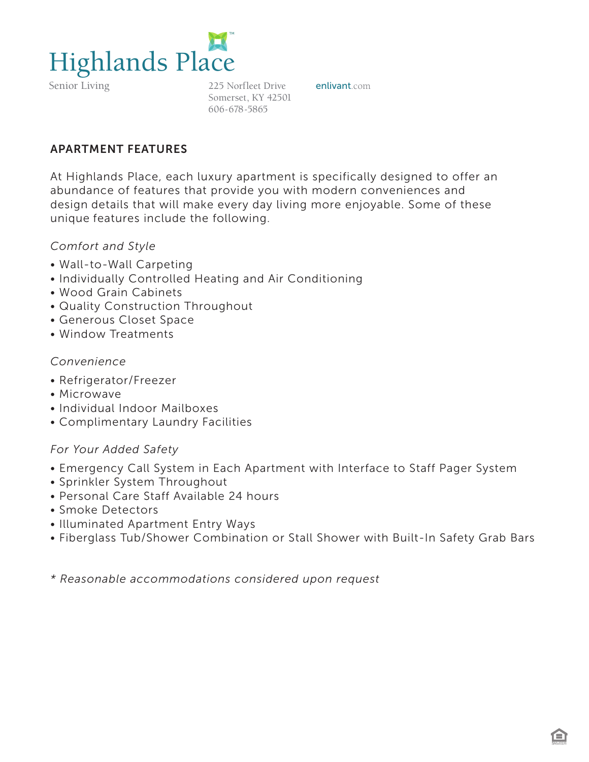

Senior Living

225 Norfleet Drive **enlivant**.com Somerset, KY 42501 606-678-5865

# APARTMENT FEATURES

At Highlands Place, each luxury apartment is specifically designed to offer an abundance of features that provide you with modern conveniences and design details that will make every day living more enjoyable. Some of these unique features include the following.

### *Comfort and Style*

- Wall-to-Wall Carpeting
- Individually Controlled Heating and Air Conditioning
- Wood Grain Cabinets
- Quality Construction Throughout
- Generous Closet Space
- Window Treatments

### *Convenience*

- Refrigerator/Freezer
- Microwave
- Individual Indoor Mailboxes
- Complimentary Laundry Facilities

## *For Your Added Safety*

- Emergency Call System in Each Apartment with Interface to Staff Pager System
- Sprinkler System Throughout
- Personal Care Staff Available 24 hours
- Smoke Detectors
- Illuminated Apartment Entry Ways
- Fiberglass Tub/Shower Combination or Stall Shower with Built-In Safety Grab Bars

*\* Reasonable accommodations considered upon request*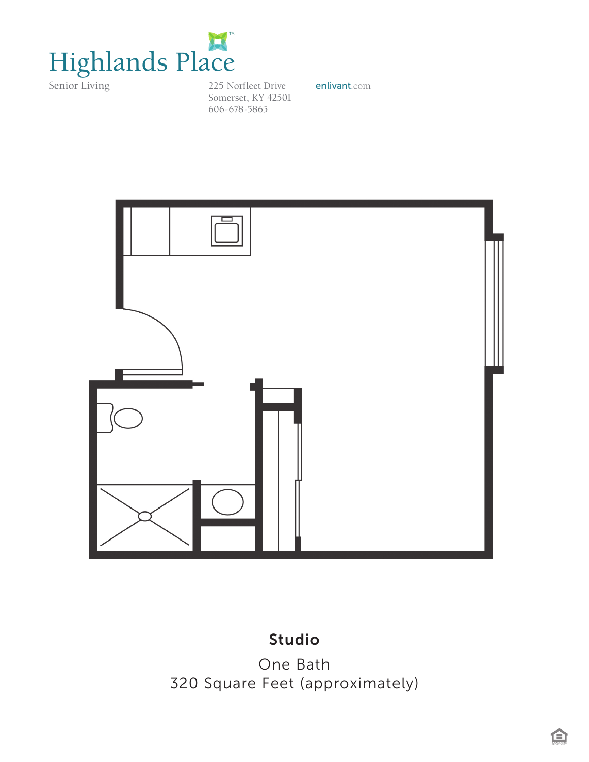

225 Norfleet Drive enlivant.com Somerset, KY 42501 606-678-5865



# *<sup>320</sup> Square Feet (approximately)* Studio

One Bath 320 Square Feet (approximately)